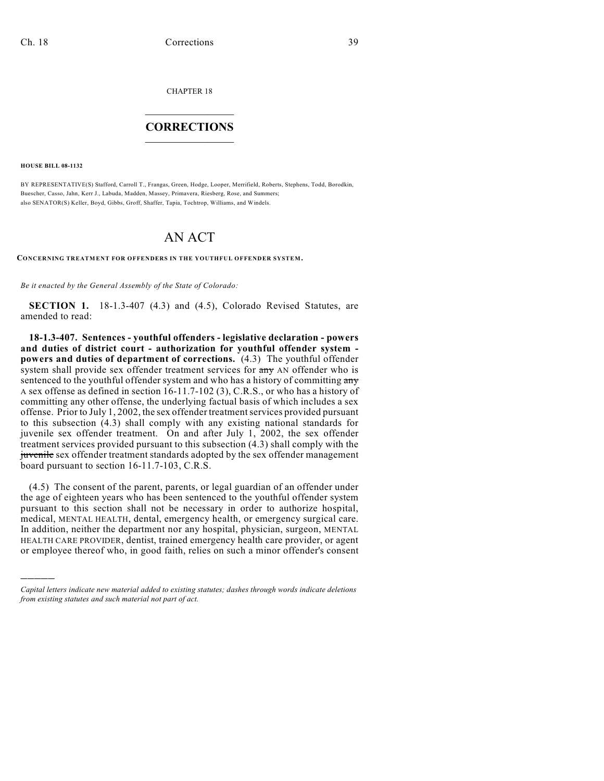CHAPTER 18

## $\mathcal{L}_\text{max}$  . The set of the set of the set of the set of the set of the set of the set of the set of the set of the set of the set of the set of the set of the set of the set of the set of the set of the set of the set **CORRECTIONS**  $\frac{1}{2}$  ,  $\frac{1}{2}$  ,  $\frac{1}{2}$  ,  $\frac{1}{2}$  ,  $\frac{1}{2}$  ,  $\frac{1}{2}$

**HOUSE BILL 08-1132**

)))))

BY REPRESENTATIVE(S) Stafford, Carroll T., Frangas, Green, Hodge, Looper, Merrifield, Roberts, Stephens, Todd, Borodkin, Buescher, Casso, Jahn, Kerr J., Labuda, Madden, Massey, Primavera, Riesberg, Rose, and Summers; also SENATOR(S) Keller, Boyd, Gibbs, Groff, Shaffer, Tapia, Tochtrop, Williams, and Windels.

## AN ACT

**CONCERNING TREATMENT FOR OFFENDERS IN THE YOUTHFUL OFFENDER SYSTEM.**

*Be it enacted by the General Assembly of the State of Colorado:*

**SECTION 1.** 18-1.3-407 (4.3) and (4.5), Colorado Revised Statutes, are amended to read:

**18-1.3-407. Sentences - youthful offenders - legislative declaration - powers and duties of district court - authorization for youthful offender system powers and duties of department of corrections.** (4.3) The youthful offender system shall provide sex offender treatment services for  $\frac{dy}{dx}$  AN offender who is sentenced to the youthful offender system and who has a history of committing any A sex offense as defined in section 16-11.7-102 (3), C.R.S., or who has a history of committing any other offense, the underlying factual basis of which includes a sex offense. Prior to July 1, 2002, the sex offender treatment services provided pursuant to this subsection (4.3) shall comply with any existing national standards for juvenile sex offender treatment. On and after July 1, 2002, the sex offender treatment services provided pursuant to this subsection (4.3) shall comply with the juvenile sex offender treatment standards adopted by the sex offender management board pursuant to section 16-11.7-103, C.R.S.

(4.5) The consent of the parent, parents, or legal guardian of an offender under the age of eighteen years who has been sentenced to the youthful offender system pursuant to this section shall not be necessary in order to authorize hospital, medical, MENTAL HEALTH, dental, emergency health, or emergency surgical care. In addition, neither the department nor any hospital, physician, surgeon, MENTAL HEALTH CARE PROVIDER, dentist, trained emergency health care provider, or agent or employee thereof who, in good faith, relies on such a minor offender's consent

*Capital letters indicate new material added to existing statutes; dashes through words indicate deletions from existing statutes and such material not part of act.*